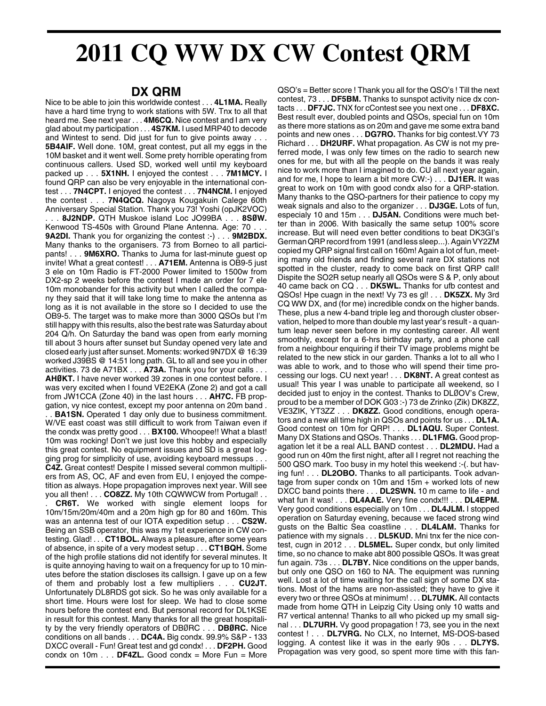## **2011 CQ WW DX CW Contest QRM**

## **DX QRM**

Nice to be able to join this worldwide contest . . . **4L1MA.** Really have a hard time tryng to work stations with 5W. Tnx to all that heard me. See next year . . . **4M6CQ.** Nice contest and I am very glad about my participation . . . **4S7KM.** I used MRP40 to decode and Wintest to send. Did just for fun to give points away . . . **5B4AIF.** Well done. 10M, great contest, put all my eggs in the 10M basket and it went well. Some prety horrible operating from continuous callers. Used SD, worked well until my keyboard packed up . . . **5X1NH.** I enjoyed the contest . . . **7M1MCY.** I found QRP can also be very enjoyable in the international contest . . . **7N4CPT.** I enjoyed the contest . . . **7N4NCM.** I enjoyed the contest . . . **7N4QCQ.** Nagoya Kougakuin Calege 60th Anniversary Special Station. Thank you 73! Yoshi (opJK2VOC) . . . **8J2NDP.** QTH Muskoe island Loc JO99BA . . . **8SØW.**

Kenwood TS-450s with Ground Plane Antenna. Age: 70. **9A2DI.** Thank you for organizing the contest :-) . . . **9M2BDX.** Many thanks to the organisers. 73 from Borneo to all participants! . . . **9M6XRO.** Thanks to Juma for last-minute guest op invite! What a great contest! . . . **A71EM.** Antenna is OB9-5 just 3 ele on 10m Radio is FT-2000 Power limited to 1500w from DX2-sp 2 weeks before the contest I made an order for 7 ele 10m monobander for this activity but when I called the company they said that it will take long time to make the antenna as long as it is not available in the store so I decided to use the OB9-5. The target was to make more than 3000 QSOs but I'm still happy with this results, also the best rate was Saturday about 204 Q/h. On Saturday the band was open from early morning till about 3 hours after sunset but Sunday opened very late and closed early just after sunset. Moments: worked 9N7DX @ 16:39 worked J39BS @ 14:51 long path. GL to all and see you in other activities. 73 de A71BX . . . **A73A.** Thank you for your calls . . . **AHØKT.** I have never worked 39 zones in one contest before. I was very excited when I found VE2EKA (Zone 2) and got a call from JW1CCA (Zone 40) in the last hours . . . **AH7C.** FB propgation, vy nice contest, except my poor antenna on 20m band .

. **BA1SN.** Operated 1 day only due to business commitment. W/VE east coast was still difficult to work from Taiwan even if the condx was pretty good . . . **BX100.** Whoopee!! What a blast! 10m was rocking! Don't we just love this hobby and especially this great contest. No equipment issues and SD is a great logging prog for simplicity of use, avoiding keyboard messups . . . **C4Z.** Great contest! Despite I missed several common multipliers from AS, OC, AF and even from EU, I enjoyed the competition as always. Hope propagation improves next year. Will see you all then! . . . **CO8ZZ.** My 10th CQWWCW from Portugal! . .

**CR6T.** We worked with single element loops for 10m/15m/20m/40m and a 20m high gp for 80 and 160m. This was an antenna test of our IOTA expedition setup . . . **CS2W.** Being an SSB operator, this was my 1st experience in CW contesting. Glad! . . . **CT1BOL.** Always a pleasure, after some years of absence, in spite of a very modest setup . . . **CT1BQH.** Some of the high profile stations did not identify for several minutes. It is quite annoying having to wait on a frequency for up to 10 minutes before the station discloses its callsign. I gave up on a few of them and probably lost a few multipliers . . . **CU2JT.** Unfortunately DL8RDS got sick. So he was only available for a short time. Hours were lost for sleep. We had to close some hours before the contest end. But personal record for DL1KSE in result for this contest. Many thanks for all the great hospitality by the very friendly operators of DBØRC . . . **DBØRC.** Nice conditions on all bands . . . **DC4A.** Big condx. 99.9% S&P - 133 DXCC overall - Fun! Great test and gd condx! . . . **DF2PH.** Good condx on 10m . . . **DF4ZL.** Good condx = More Fun = More

QSO's = Better score ! Thank you all for the QSO's ! Till the next contest, 73 . . . **DF5BM.** Thanks to sunspot activity nice dx contacts . . . **DF7JC.** TNX for cContest see you next one . . . **DF8XC.** Best result ever, doubled points and QSOs, special fun on 10m as there more stations as on 20m and gave me some extra band points and new ones . . . **DG7RO.** Thanks for big contest.VY 73 Richard . . . **DH2URF.** What propagation. As CW is not my preferred mode, I was only few times on the radio to search new ones for me, but with all the people on the bands it was realy nice to work more than I imagined to do. CU all next year again, and for me, I hope to learn a bit more CW:-) . . . **DJ1ER.** It was great to work on 10m with good condx also for a QRP-station. Many thanks to the QSO-partners for their patience to copy my weak signals and also to the organizer . . . **DJ3GE.** Lots of fun, especialy 10 and 15m . . . **DJ5AN.** Conditions were much better than in 2006. With basically the same setup 100% score increase. But will need even better conditions to beat DK3GI's German QRP record from 1991 (and less sleep...). Again VY2ZM copied my QRP signal first call on 160m! Again a lot of fun, meeting many old friends and finding several rare DX stations not spotted in the cluster, ready to come back on first QRP call! Dispite the SO2R setup nearly all QSOs were S & P, only about 40 came back on CQ . . . **DK5WL.** Thanks for ufb contest and QSOs! Hpe cuagn in the next! Vy 73 es gl! . . . **DK5ZX.** My 3rd CQ WW DX, and (for me) incredible condx on the higher bands. These, plus a new 4-band triple leg and thorough cluster observation, helped to more than double my last year's result - a quantum leap never seen before in my contesting career. All went smoothly, except for a 6-hrs birthday party, and a phone call from a neighbour enquiring if their TV image problems might be related to the new stick in our garden. Thanks a lot to all who I was able to work, and to those who will spend their time processing our logs. CU next year! . . . **DK8NT.** A great contest as usual! This year I was unable to participate all weekend, so I decided just to enjoy in the contest. Thanks to DLØOV's Crew, proud to be a member of DOK G03 :-) 73 de Zrinko (Zik) DK8ZZ, VE3ZIK, YT3ZZ . . . **DK8ZZ.** Good conditions, enough operators and a new all time high in QSOs and points for us . . . **DL1A.** Good contest on 10m for QRP! . . . **DL1AQU.** Super Contest. Many DX Stations and QSOs. Thanks . . . **DL1FMG.** Good propagation let it be a real ALL BAND contest . . . **DL2MDU.** Had a good run on 40m the first night, after all I regret not reaching the 500 QSO mark. Too busy in my hotel this weekend :-(. but having fun! . . . **DL2OBO.** Thanks to all participants. Took advantage from super condx on 10m and 15m + worked lots of new DXCC band points there . . . **DL2SWN.** 10 m came to life - and what fun it was! . . . **DL4AAE.** Very fine condx!!! . . . **DL4EPM.** Very good conditions especially on 10m . . . **DL4JLM.** I stopped operation on Saturday evening, because we faced strong wind gusts on the Baltic Sea coastline . . . **DL4LAM.** Thanks for patience with my signals . . . **DL5KUD.** Mni tnx fer the nice contest, cugn in 2012 . . . **DL5MEL.** Super condx, but only limited time, so no chance to make abt 800 possible QSOs. It was great fun again. 73s . . . **DL7BY.** Nice conditions on the upper bands, but only one QSO on 160 to NA. The equipment was running well. Lost a lot of time waiting for the call sign of some DX stations. Most of the hams are non-assisted; they have to give it every two or three QSOs at minimum! . . . **DL7UMK.** All contacts made from home QTH in Leipzig City Using only 10 watts and R7 vertical antenna! Thanks to all who picked up my small signal . . . **DL7URH.** Vy good propagation ! 73, see you in the next contest ! . . . **DL7VRG.** No CLX, no Internet, MS-DOS-based logging. A contest like it was in the early 90s . . . **DL7YS.** Propagation was very good, so spent more time with this fan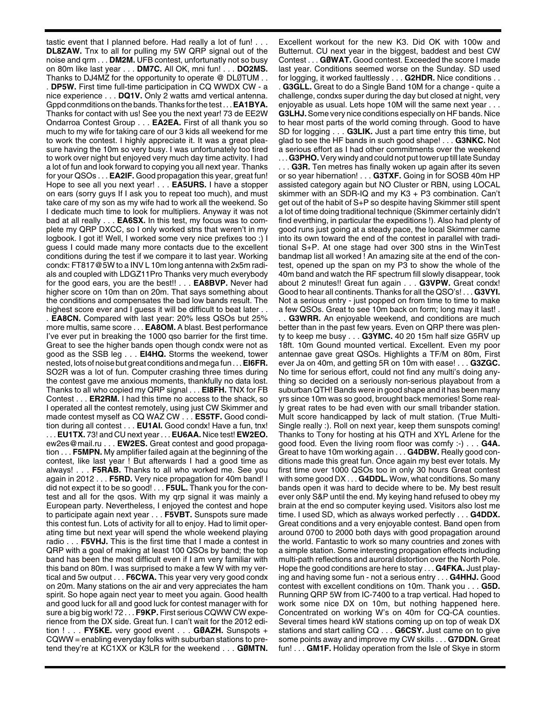tastic event that I planned before. Had really a lot of fun! . . . **DL8ZAW.** Tnx to all for pulling my 5W QRP signal out of the noise and qrm . . . **DM2M.** UFB contest, unfortunatly not so busy on 80m like last year . . . **DM7C.** All OK, mni fun! . . . **DO2MS.** Thanks to DJ4MZ for the opportunity to operate @ DLØTUM . . . **DP5W.** First time full-time participation in CQ WWDX CW - a nice experience . . . **DQ1V.** Only 2 watts amd vertical antenna. Gppd conmditions on the bands. Thanks for the test . . . **EA1BYA.** Thanks for contact with us! See you the next year! 73 de EE2W Ondarroa Contest Group . . . **EA2EA.** First of all thank you so much to my wife for taking care of our 3 kids all weekend for me to work the contest. I highly appreciate it. It was a great pleasure having the 10m so very busy. I was unfortunately too tired to work over night but enjoyed very much day time activity. I had a lot of fun and look forward to copying you all next year. Thanks for your QSOs . . . **EA2IF.** Good propagation this year, great fun! Hope to see all you next year! . . . **EA5URS.** I have a stopper on ears (sorry guys If I ask you to repeat too much), and must take care of my son as my wife had to work all the weekend. So I dedicate much time to look for multipliers. Anyway it was not bad at all really . . . **EA6SX.** In this test, my focus was to complete my QRP DXCC, so I only worked stns that weren't in my logbook. I got it! Well, I worked some very nice prefixes too :) I guess I could made many more contacts due to the excellent conditions during the test if we compare it to last year. Working condx: FT817@5W to a INV L 10m long antenna with 2x5m radials and coupled with LDGZ11Pro Thanks very much everybody for the good ears, you are the best!! . . . **EA8BVP.** Never had higher score on 10m than on 20m. That says something about the conditions and compensates the bad low bands result. The highest score ever and I guess it will be difficult to beat later . . . **EA8CN.** Compared with last year: 20% less QSOs but 25% more multis, same score . . . **EA8OM.** A blast. Best performance I've ever put in breaking the 1000 qso barrier for the first time. Great to see the higher bands open though condx were not as good as the SSB leg . . . **EI4HQ.** Storms the weekend, tower nested, lots of noise but great conditions and mega fun . . . **EI6FR.** SO2R was a lot of fun. Computer crashing three times during the contest gave me anxious moments, thankfully no data lost. Thanks to all who copied my QRP signal . . . **EI8FH.** TNX for FB Contest . . . **ER2RM.** I had this time no access to the shack, so I operated all the contest remotely, using just CW Skimmer and made contest myself as CQ WAZ CW . . . **ES5TF.** Good condition during all contest . . . **EU1AI.** Good condx! Have a fun, tnx! . . . **EU1TX.** 73! and CU next year . . . **EU6AA.** Nice test! **EW2EO.** ew2es@mail.ru . . . **EW2ES.** Great contest and good propagation . . . **F5MPN.** My amplifier failed again at the beginning of the contest, like last year ! But afterwards I had a good time as always! . . . **F5RAB.** Thanks to all who worked me. See you again in 2012 . . . **F5RD.** Very nice propagation for 40m band! I did not expect it to be so good! . . . **F5UL.** Thank you for the contest and all for the qsos. With my qrp signal it was mainly a European party. Nevertheless, I enjoyed the contest and hope to participate again next year . . . **F5VBT.** Sunspots sure made this contest fun. Lots of activity for all to enjoy. Had to limit operating time but next year will spend the whole weekend playing radio . . . **F5VHJ.** This is the first time that I made a contest in QRP with a goal of making at least 100 QSOs by band; the top band has been the most difficult even if I am very familiar with this band on 80m. I was surprised to make a few W with my vertical and 5w output . . . **F6CWA.** This year very very good condx on 20m. Many stations on the air and very appreciates the ham spirit. So hope again nect year to meet you again. Good health and good luck for all and good luck for contest manager with for sure a big big work! 72 . . . **F9KP.** First serious CQWW CW experience from the DX side. Great fun. I can't wait for the 2012 edition ! . . . **FY5KE.** very good event . . . **GØAZH.** Sunspots + CQWW = enabling everyday folks with suburban stations to pretend they're at KC1XX or K3LR for the weekend . . . **GØMTN.**

Excellent workout for the new K3. Did OK with 100w and Butternut. CU next year in the biggest, baddest and best CW Contest . . . **GØWAT.** Good contest. Exceeded the score I made last year. Conditions seemed worse on the Sunday. SD used for logging, it worked faultlessly . . . **G2HDR.** Nice conditions . . . **G3GLL.** Great to do a Single Band 10M for a change - quite a challenge, condxs super during the day but closed at night, very enjoyable as usual. Lets hope 10M will the same next year . . . **G3LHJ.**Some very nice conditions especially on HF bands. Nice to hear most parts of the world coming through. Good to have SD for logging . . . **G3LIK.** Just a part time entry this time, but glad to see the HF bands in such good shape! . . . **G3NKC.** Not a serious effort as I had other commitments over the weekend . . . **G3PHO.**Very windy and could not put tower up till late Sunday

. . . **G3R.** Ten metres has finally woken up again after its seven or so year hibernation! . . . **G3TXF.** Going in for SOSB 40m HP assisted category again but NO Cluster or RBN, using LOCAL skimmer with an SDR-IQ and my K3 + P3 combination. Can't get out of the habit of S+P so despite having Skimmer still spent a lot of time doing traditional technique (Skimmer certainly didn't find everthing, in particular the expeditions !). Also had plenty of good runs just going at a steady pace, the local Skimmer came into its own toward the end of the contest in parallel with traditional S+P. At one stage had over 300 stns in the WinTest bandmap list all worked ! An amazing site at the end of the contest, opened up the span on my P3 to show the whole of the 40m band and watch the RF spectrum fill slowly disappear, took about 2 minutes!! Great fun again . . . **G3VPW.** Great condx! Good to hear all continents. Thanks for all the QSO's! . . . **G3VYI.** Not a serious entry - just popped on from time to time to make a few QSOs. Great to see 10m back on form; long may it last! .

G3WRR. An enjoyable weekend, and conditions are much better than in the past few years. Even on QRP there was plenty to keep me busy . . . **G3YMC.** 40 20 15m half size G5RV up 18ft. 10m Gound mounted vertical. Excellent. Even my poor antennae gave great QSOs. Highlights a TF/M on 80m, First ever Ja on 40m, and getting 5R on 10m with ease! . . . **G3ZGC.** No time for serious effort, could not find any multi's doing anything so decided on a seriously non-serious playabout from a suburban QTH! Bands were in good shape and it has been many yrs since 10m was so good, brought back memories! Some really great rates to be had even with our small tribander station. Mult score handicapped by lack of mult station. (True Multi-Single really :). Roll on next year, keep them sunspots coming! Thanks to Tony for hosting at his QTH and XYL Arlene for the good food. Even the living room floor was comfy :-) . . . **G4A.** Great to have 10m working again . . . **G4DBW.** Really good conditions made this great fun. Once again my best ever totals. My first time over 1000 QSOs too in only 30 hours Great contest with some good DX . . . **G4DDL.** Wow, what conditions. So many bands open it was hard to decide where to be. My best result ever only S&P until the end. My keying hand refused to obey my brain at the end so computer keying used. Visitors also lost me time. I used SD, which as always worked perfectly . . . **G4DDX.** Great conditions and a very enjoyable contest. Band open from around 0700 to 2000 both days with good propagation around the world. Fantastic to work so many countries and zones with a simple station. Some interesting propagation effects including multi-path reflections and auroral distortion over the North Pole. Hope the good conditions are here to stay . . . **G4FKA.** Just playing and having some fun - not a serious entry . . . **G4HHJ.** Good contest with excellent conditions on 10m. Thank you . . . **G5D.** Running QRP 5W from IC-7400 to a trap vertical. Had hoped to work some nice DX on 10m, but nothing happened here. Concentrated on working W's on 40m for CQ-CA counties. Several times heard kW stations coming up on top of weak DX stations and start calling CQ . . . **G6CSY.** Just came on to give some points away and improve my CW skills . . . **G7DDN.** Great fun! . . . **GM1F.** Holiday operation from the Isle of Skye in storm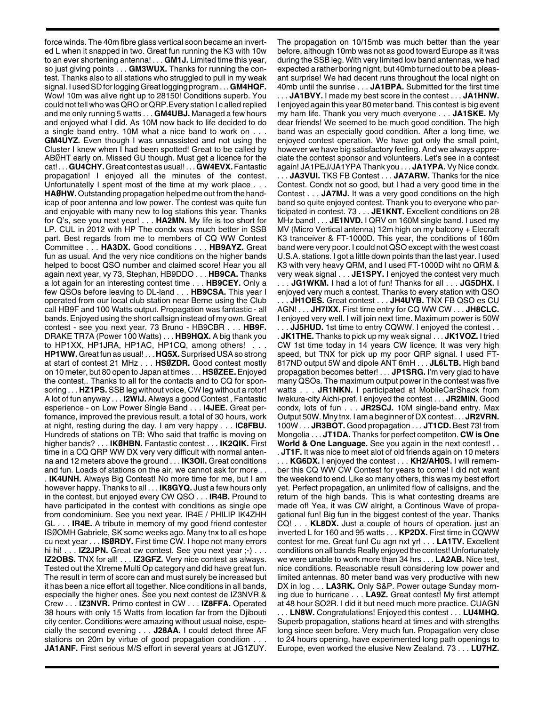force winds. The 40m fibre glass vertical soon became an inverted L when it snapped in two. Great fun running the K3 with 10w to an ever shortening antenna! . . . **GM1J.** Limited time this year, so just giving points . . . **GM3WUX.** Thanks for running the contest. Thanks also to all stations who struggled to pull in my weak signal. I used SD for logging Great logging program . . . **GM4HQF.** Wow! 10m was alive right up to 28150! Conditions superb. You could not tell who was QRO or QRP.Every station I c alled replied and me only running 5 watts . . . **GM4UBJ.** Managed a few hours and enjoyed what I did. As 10M now back to life decided to do a single band entry. 10M what a nice band to work on . . . **GM4UYZ.** Even though I was unnassisted and not using the Cluster I knew when I had been spotted! Great to be called by ABØHT early on. Missed GU though. Must get a licence for the cat! . . . **GU4CHY.**Great contest as usual! . . . **GW4EVX.**Fantastic propagation! I enjoyed all the minutes of the contest. Unfortunatelly I spent most of the time at my work place . . . **HAØHW.** Outstanding propagation helped me out from the handicap of poor antenna and low power. The contest was quite fun and enjoyable with many new to log stations this year. Thanks for Q's, see you next year! . . . **HA2MN.** My life is too short for LP. CUL in 2012 with HP The condx was much better in SSB part. Best regards from me to members of CQ WW Contest Committee . . . **HA3DX.** Good conditions . . . **HB9AYZ.** Great fun as usual. And the very nice conditions on the higher bands helped to boost QSO number and claimed score! Hear you all again next year, vy 73, Stephan, HB9DDO . . . **HB9CA.** Thanks a lot again for an interesting contest time . . . **HB9CEY.** Only a few QSOs before leaving to DL-land . . . **HB9CSA.** This year I operated from our local club station near Berne using the Club call HB9F and 100 Watts output. Propagation was fantastic - all bands. Enjoyed using the short callsign instead of my own. Great contest - see you next year. 73 Bruno - HB9CBR . . . **HB9F.** DRAKE TR7A (Power 100 Watts) . . . **HB9HQX.** A big thank you to HP1XX, HP1JRA, HP1AC, HP1CQ, among others! . . . **HP1WW.** Great fun as usual! . . . **HQ5X.**Surprised USA so strong at start of contest 21 MHz . . . **HSØZDR.** Good contest mostly on 10 meter, but 80 open to Japan at times . . . **HSØZEE.** Enjoyed the contest,. Thanks to all for the contacts and to CQ for sponsoring . . . **HZ1PS.** SSB leg without voice, CW leg without a rotor! A lot of fun anyway . . . **I2WIJ.** Always a good Contest , Fantastic esperience - on Low Power Single Band . . . **I4JEE.** Great perfomance, improved the previous result, a total of 30 hours, work at night, resting during the day. I am very happy . . . **IC8FBU.** Hundreds of stations on TB: Who said that traffic is moving on higher bands? . . . **IKØHBN.** Fantastic contest . . . **IK2QIK.** First time in a CQ QRP WW DX very very difficult with normal antenna and 12 meters above the ground . . . **IK3OII.** Great conditions and fun. Loads of stations on the air, we cannot ask for more . . . **IK4UNH.** Always Big Contest! No more time for me, but I am however happy. Thanks to all . . . **IK8GYQ.** Just a few hours only in the contest, but enjoyed every CW QSO . . . **IR4B.** Pround to have participated in the contest with conditions as single ope from condominium. See you next year. IR4E / PHILIP IK4ZHH GL . . . **IR4E.** A tribute in memory of my good friend contester ISØOMH Gabriele, SK some weeks ago. Many tnx to all es hope cu next year . . . **ISØRDY.** First time CW. I hope not many errors hi hi! . . . **IZ2JPN.** Great cw contest. See you next year :-) . . . **IZ2OBS.** TNX for all! . . . **IZ3GFZ.** Very nice contest as always. Tested out the Xtreme Multi Op category and did have great fun. The result in term of score can and must surely be increased but it has been a nice effort all together. Nice conditions in all bands, especially the higher ones. See you next contest de IZ3NVR & Crew . . . **IZ3NVR.** Primo contest in CW . . . **IZ8FFA.** Operated 38 hours with only 15 Watts from location far from the Djibouti city center. Conditions were amazing without usual noise, especially the second evening . . . **J28AA.** I could detect three AF stations on 20m by virtue of good propagation condition. **JA1ANF.** First serious M/S effort in several years at JG1ZUY.

The propagation on 10/15mb was much better than the year before, although 10mb was not as good toward Europe as it was during the SSB leg. With very limited low band antennas, we had expected a rather boring night, but 40mb turned out to be a pleasant surprise! We had decent runs throughout the local night on 40mb until the sunrise . . . **JA1BPA.** Submitted for the first time . . . **JA1BVY.** I made my best score in the contest . . . **JA1HNW.** I enjoyed again this year 80 meter band. This contest is big event my ham life. Thank you very much everyone . . . **JA1SKE.** My dear friends! We seemed to be much good condition. The high band was an especially good condition. After a long time, we enjoyed contest operation. We have got only the small point, however we have big satisfactory feeling. And we always appreciate the contest sponsor and volunteers. Let's see in a contest again! JA1PEJ/JA1YPA Thank you . . . **JA1YPA.** Vy Nice condx. . . . **JA3VUI.** TKS FB Contest . . . **JA7ARW.** Thanks for the nice Contest. Condx not so good, but I had a very good time in the Contest . . . **JA7MJ.** It was a very good conditions on the high band so quite enjoyed contest. Thank you to everyone who participated in contest. 73 . . . **JE1KNT.** Excellent conditions on 28 MHz band! . . . **JE1NVD.** I QRV on 160M single band. I used my MV (Micro Vertical antenna) 12m high on my balcony + Elecraft K3 tranceiver & FT-1000D. This year, the conditions of 160m band were very poor. I could not QSO except with the west coast U.S.A. stations. I got a little down points than the last year. I used K3 with very heavy QRM, and I used FT-1000D wiht no QRM & very weak signal . . . **JE1SPY.** I enjoyed the contest very much . . . **JG1WKM.** I had a lot of fun! Thanks for all . . . **JG5DHX.** I enjoyed very much a contest. Thanks to every station with QSO . JH1OES. Great contest . . . JH4UYB. TNX FB QSO es CU AGN! . . . **JH7IXX.** First time entry for CQ WW CW . . . **JH8CLC.** I enjoyed very well. I will join next time. Maximum power is 50W . . . **JJ5HUD.** 1st time to entry CQWW. I enjoyed the contest . . . **JK1THE.** Thanks to pick up my weak signal . . . **JK1VOZ.** I tried CW 1st time today in 14 years CW licence. It was very high speed, but TNX for pick up my poor QRP signal. I used FT-817ND output 5W and dipole ANT 6mH . . . **JL6LTB.** High band propagation becomes better! . . . **JP1SRG.** I'm very glad to have many QSOs. The maximum output power in the contest was five watts . . . **JR1NKN.** I participated at MobileCarShack from Iwakura-city Aichi-pref. I enjoyed the contest . . . **JR2MIN.** Good condx, lots of fun . . . **JR2SCJ.** 10M single-band entry. Max Output 50W. Mny tnx. I am a beginner of DX contest . . . **JR2VRN.** 100W . . . **JR3BOT.** Good propagation . . . **JT1CD.** Best 73! from Mongolia . . . **JT1DA.** Thanks for perfect competiton. **CW is One World & One Language.** See you again in the next contest! . .

. **JT1F.** It was nice to meet alot of old friends again on 10 meters . . . **KG6DX.** I enjoyed the contest . . . **KH2/AH0S.** I will remember this CQ WW CW Contest for years to come! I did not want the weekend to end. Like so many others, this was my best effort yet. Perfect propagation, an unlimited flow of callsigns, and the return of the high bands. This is what contesting dreams are made of! Yea, it was CW alright, a Continous Wave of propagational fun! Big fun in the biggest contest of the year. Thanks CQ! . . . **KL8DX.** Just a couple of hours of operation. just an inverted L for 160 and 95 watts . . . **KP2DX.** First time in CQWW contest for me. Great fun! Cu agn nxt yr! . . . **LA1TV.** Excellent conditions on all bands Really enjoyed the contest! Unfortunately we were unable to work more than 34 hrs . . . **LA2AB.** Nice test, nice conditions. Reasonable result considering low power and limited antennas. 80 meter band was very productive with new DX in log . . . **LA3RK.** Only S&P. Power outage Sunday morning due to hurricane . . . **LA9Z.** Great contest! My first attempt at 48 hour SO2R. I did it but need much more practice. CUAGN . . . **LN8W.** Congratulations! Enjoyed this contest . . . **LU4MHQ.** Superb propagation, stations heard at times and with strengths long since seen before. Very much fun. Propagation very close to 24 hours opening, have experimented long path openings to Europe, even worked the elusive New Zealand. 73 . . . **LU7HZ.**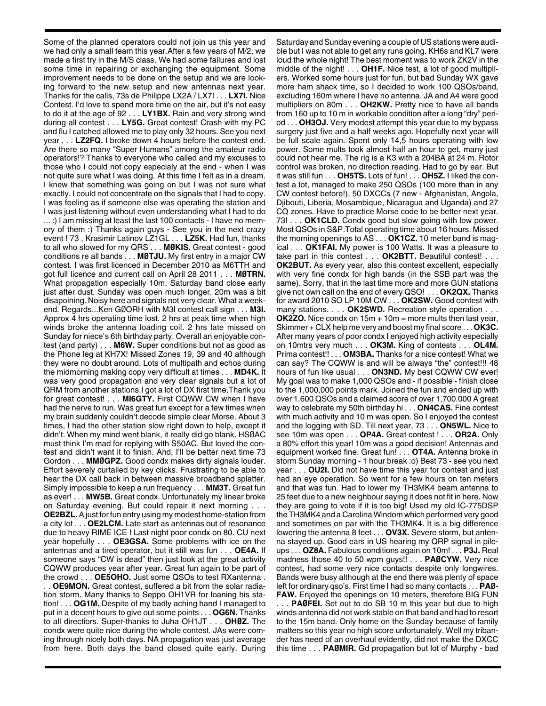Some of the planned operators could not join us this year and we had only a small team this year.After a few years of M/2, we made a first try in the M/S class. We had some failures and lost some time in repairing or exchanging the equipment. Some improvement needs to be done on the setup and we are looking forward to the new setup and new antennas next year. Thanks for the calls, 73s de Philippe LX2A / LX7I . . . **LX7I.** Nice Contest. I'd love to spend more time on the air, but it's not easy to do it at the age of 92 . . . **LY1BX.** Rain and very strong wind during all contest . . . **LY5G.** Great contest! Crash with my PC and flu I catched allowed me to play only 32 hours. See you next year . . . **LZ2FQ.** I broke down 4 hours before the contest end. Are there so many "Super Humans" among the amateur radio operators!? Thanks to everyone who called and my excuses to those who I could not copy especialy at the end - when I was not quite sure what I was doing. At this time I felt as in a dream. I knew that something was going on but I was not sure what exactly. I could not concentrate on the signals that I had to copy. I was feeling as if someone else was operating the station and I was just listening without even understanding what I had to do ... :) I am missing at least the last 100 contacts - I have no memory of them :) Thanks again guys - See you in the next crazy event ! 73 , Krasimir Latinov LZ1GL . . . **LZ5K.** Had fun, thanks to all who slowed for my QRS . . . **MØKIS.** Great contest - good conditions re all bands . . . **MØTJU.** My first entry in a major CW contest. I was first licenced in December 2010 as M6TTH and got full licence and current call on April 28 2011 . . . **MØTRN.** What propagation especially 10m. Saturday band close early just after dust, Sunday was open much longer. 20m was a bit disapoining. Noisy here and signals not very clear. What a weekend. Regards...Ken GØORH with M3I contest call sign . . . **M3I.** Approx 4 hrs operating time lost. 2 hrs at peak time when high winds broke the antenna loading coil. 2 hrs late missed on Sunday for niece's 6th birthday party. Overall an enjoyable contest (and party) . . . **M6W.** Super conditions but not as good as the Phone leg at KH7X! Missed Zones 19, 39 and 40 although they were no doubt around. Lots of multipath and echos during the midmorning making copy very difficult at times . . . **MD4K.** It was very good propagation and very clear signals but a lot of QRM from another stations.I got a lot of DX first time.Thank you for great contest! . . . **MI6GTY.** First CQWW CW when I have had the nerve to run. Was great fun except for a few times when my brain suddenly couldn't decode simple clear Morse. About 3 times, I had the other station slow right down to help, except it didn't. When my mind went blank, it really did go blank. HSØAC must think I'm mad for replying with S50AC. But loved the contest and didn't want it to finish. And, I'll be better next time 73 Gordon . . . **MMØGPZ.** Good condx makes dirty signals louder. Effort severely curtailed by key clicks. Frustrating to be able to hear the DX call back in between massive broadband splatter. Simply impossible to keep a run frequency . . . **MM3T.** Great fun as ever! . . . **MW5B.** Great condx. Unfortunately my linear broke on Saturday evening. But could repair it next morning . . . **OE2BZL.**A just for fun entry using my modest home-station from a city lot . . . **OE2LCM.** Late start as antennas out of resonance due to heavy RIME ICE ! Last night poor condx on 80. CU next year hopefully . . . **OE3GSA.** Some problems with ice on the antennas and a tired operator, but it still was fun . . . **OE4A.** If someone says "CW is dead" then just look at the great activity CQWW produces year after year. Great fun again to be part of the crowd . . . **OE5OHO.** Just some QSOs to test RXantenna . . . **OE9MON.** Great contest, suffered a bit from the solar radiation storm. Many thanks to Seppo OH1VR for loaning his station! . . . **OG1M.** Despite of my badly aching hand I managed to put in a decent hours to give out some points . . . **OG6N.** Thanks to all directiors. Super-thanks to Juha OH1JT . . . **OHØZ.** The

condx were quite nice during the whole contest. JAs were coming through nicely both days. NA propagation was just average from here. Both days the band closed quite early. During Saturday and Sunday evening a couple of US stations were audible but I was not able to get any runs going. KH6s and KL7 were loud the whole night! The best moment was to work ZK2V in the middle of the night! . . . **OH1F.** Nice test, a lot of good multipliers. Worked some hours just for fun, but bad Sunday WX gave more ham shack time, so I decided to work 100 QSOs/band, excluding 160m where I have no antenna. JA and A4 were good multipliers on 80m . . . **OH2KW.** Pretty nice to have all bands from 160 up to 10 m in workable condition after a long "dry" period . . . **OH3OJ.** Very modest attempt this year due to my bypass surgery just five and a half weeks ago. Hopefully next year will be full scale again. Spent only 14,5 hours operating with low power. Some mults took almost half an hour to get, many just could not hear me. The rig is a K3 with a 204BA at 24 m. Rotor control was broken, no direction reading. Had to go by ear. But it was still fun . . . **OH5TS.** Lots of fun! . . . **OH5Z.** I liked the contest a lot, managed to make 250 QSOs (100 more than in any CW contest before!), 50 DXCCs (7 new - Afghanistan, Angola, Djibouti, Liberia, Mosambique, Nicaragua and Uganda) and 27 CQ zones. Have to practice Morse code to be better next year. 73! . . . **OK1CLD.** Condx good but slow going with low power. Most QSOs in S&P.Total operating time about 16 hours. Missed the morning openings to AS . . . **OK1CZ.** 10 meter band is magical . . . **OK1FAI.** My power is 100 Watts. It was a pleasure to take part in this contest . . . **OK2BTT.** Beautiful contest! . . . **OK2BUT.** As every year, also this contest excellent, especially with very fine condx for high bands (in the SSB part was the same). Sorry, that in the last time more and more GUN stations give not own call on the end of every QSO! . . . **OK2QX.** Thanks for award 2010 SO LP 10M CW . . . **OK2SW.** Good contest with many stations. . . . **OK2SWD.** Recreation style operation . . . **OK2ZO.** Nice condx on 15m + 10m = more mults then last year, Skimmer + CLX help me very and boost my final score . . . **OK3C.** After many years of poor condx I enjoyed high activity especially on 10mtrs very much . . . **OK3M.** King of contests . . . **OL4M.** Prima contest!! . . . **OM3BA.** Thanks for a nice contest! What we can say? The CQWW is and will be always "the" contest!!! 48 hours of fun like usual . . . **ON3ND.** My best CQWW CW ever! My goal was to make 1,000 QSOs and - if possible - finish close to the 1,000,000 points mark. Joined the fun and ended up with over 1,600 QSOs and a claimed score of over 1,700.000 A great way to celebrate my 50th birthday hi . . . **ON4CAS.** Fine contest with much activity and 10 m was open. So I enjoyed the contest and the logging with SD. Till next year, 73 . . . **ON5WL.** Nice to see 10m was open . . . **OP4A.** Great contest ! . . . **OR2A.** Only a 80% effort this year! 10m was a good decision! Antennas and equipment worked fine. Great fun! . . . **OT4A.** Antenna broke in storm Sunday morning - 1 hour break :o) Best 73 - see you next year . . . **OU2I.** Did not have time this year for contest and just had an eye operation. So went for a few hours on ten meters and that was fun. Had to lower my TH3MK4 beam antenna to 25 feet due to a new neighbour saying it does not fit in here. Now they are going to vote if it is too big! Used my old IC-775DSP the TH3MK4 and a Carolina Windom which performed very good and sometimes on par with the TH3MK4. It is a big difference lowering the antenna 8 feet . . . **OV3X.** Severe storm, but antenna stayed up. Good ears in US hearing my QRP signal in pileups . . . **OZ8A.** Fabulous conditions again on 10m! . . . **P3J.** Real madness those 40 to 50 wpm guys!! . . . **PAØCYW.** Very nice contest, had some very nice contacts despite only longwires. Bands were busy although at the end there was plenty of space left for ordinary qso's. First time I had so many contacts . . . **PAØ-FAW.** Enjoyed the openings on 10 meters, therefore BIG FUN . . . **PAØFEI.** Set out to do SB 10 m this year but due to high winds antenna did not work stable on that band and had to resort to the 15m band. Only home on the Sunday because of family matters so this year no high score unfortunately. Well my tribander has need of an overhaul evidently, did not make the DXCC this time . . . **PAØMIR.** Gd propagation but lot of Murphy - bad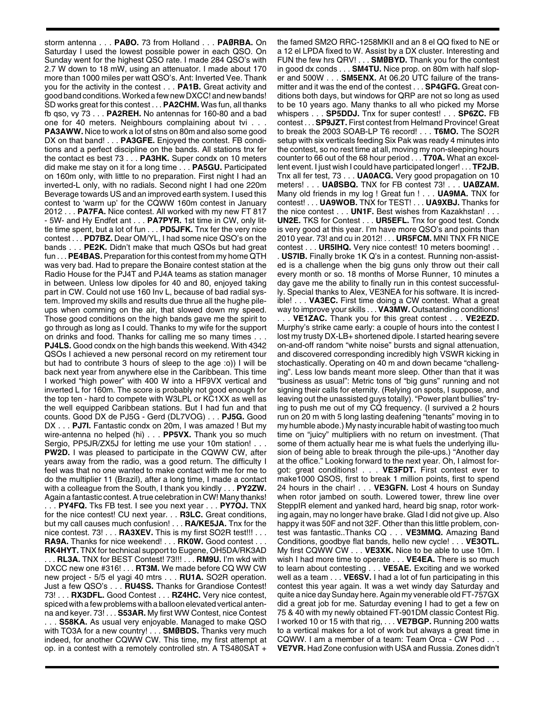storm antenna . . . **PAØO.** 73 from Holland . . . **PAØRBA.** On Saturday I used the lowest possible power in each QSO. On Sunday went for the highest QSO rate. I made 284 QSO's with 2.7 W down to 18 mW, using an attenuator. I made about 170 more than 1000 miles per watt QSO's. Ant: Inverted Vee. Thank you for the activity in the contest . . . **PA1B.** Great activity and good band conditions. Worked a few new DXCC! and new bands! SD works great for this contest . . . **PA2CHM.** Was fun, all thanks fb qso, vy 73 . . . **PA2REH.** No antennas for 160-80 and a bad one for 40 meters. Neighbours complaining about tvi . . . **PA3AWW.** Nice to work a lot of stns on 80m and also some good DX on that band! . . . **PA3GFE.** Enjoyed the contest. FB conditions and a perfect discipline on the bands. All stations tnx fer the contact es best 73 . . . **PA3HK.** Super condx on 10 meters did make me stay on it for a long time . . . **PA5GU.** Participated on 160m only, with little to no preparation. First night I had an inverted-L only, with no radials. Second night I had one 220m Beverage towards US and an improved earth system. I used this contest to 'warm up' for the CQWW 160m contest in January 2012 . . . **PA7FA.** Nice contest. All worked with my new FT 817 - 5W- and Hy Endfet ant . . . **PA7PYR.** 1st time in CW, only little time spent, but a lot of fun . . . **PD5JFK.** Tnx fer the very nice contest . . . **PD7BZ.** Dear OM/YL, I had some nice QSO's on the bands . . . **PE2K.** Didn't make that much QSOs but had great fun . . . **PE4BAS.** Preparation for this contest from my home QTH was very bad. Had to prepare the Bonaire contest station at the Radio House for the PJ4T and PJ4A teams as station manager in between. Unless low dipoles for 40 and 80, enjoyed taking part in CW. Could not use 160 Inv L, because of bad radial system. Improved my skills and results due thrue all the hughe pileups when comming on the air, that slowed down my speed. Those good conditions on the high bands gave me the spirit to go through as long as I could. Thanks to my wife for the support on drinks and food. Thanks for calling me so many times . **PJ4LS.** Good condx on the high bands this weekend. With 4342

QSOs I achieved a new personal record on my retirement tour but had to contribute 3 hours of sleep to the age :o)) I will be back next year from anywhere else in the Caribbean. This time I worked "high power" with 400 W into a HF9VX vertical and inverted L for 160m. The score is probably not good enough for the top ten - hard to compete with W3LPL or KC1XX as well as the well equipped Caribbean stations. But I had fun and that counts. Good DX de PJ5G - Gerd (DL7VOG) . . . **PJ5G.** Good DX . . . **PJ7I.** Fantastic condx on 20m, I was amazed ! But my wire-antenna no helped (hi) . . . **PP5VX.** Thank you so much Sergio, PP5JR/ZX5J for letting me use your 10m station! . . . **PW2D.** I was pleased to participate in the CQWW CW, after years away from the radio, was a good return. The difficulty I feel was that no one wanted to make contact with me for me to do the multiplier 11 (Brazil), after a long time, I made a contact with a colleague from the South, I thank you kindly . . . **PY2ZW.** Again a fantastic contest. A true celebration in CW! Many thanks!

. . . **PY4FQ.** Tks FB test. I see you next year . . . **PY7OJ.** TNX for the nice contest! CU next year. . . **R3LC.** Great conditions, but my call causes much confusion! . . . **RA/KE5JA.** Tnx for the nice contest. 73! . . . **RA3XEV.** This is my first SO2R test!!! . . . **RA9A.** Thanks for nice weekend! . . . **RK0W.** Good contest . . . **RK4HYT.** TNX for technical support to Eugene, OH5DA/RK3AD . . . **RL3A.** TNX for BEST Contest! 73!!! . . . **RM9U.** I'm wkd with DXCC new one #316! . . . **RT3M.** We made before CQ WW CW new project - 5/5 el yagi 40 mtrs . . . **RU1A.** SO2R operation. Just a few QSO's . . . **RU4SS.** Thanks for Grandiose Contest! 73! . . . **RX3DFL.** Good Contest . . . **RZ4HC.** Very nice contest, spiced with a few problems with a balloon elevated vertical antenna and keyer. 73! . . . **S53AR.** My first WW Contest, nice Contest . . . **S58KA.** As usual very enjoyable. Managed to make QSO with TO3A for a new country! . . . **SMØBDS.** Thanks very much indeed, for another CQWW CW. This time, my first attempt at op. in a contest with a remotely controlled stn. A TS480SAT +

the famed SM2O RRC-1258MKII and an 8 el QQ fixed to NE or a 12 el LPDA fixed to W. Assist by a DX cluster. Interesting and FUN the few hrs QRV! . . . **SMØBYD.** Thank you for the contest in good dx conds . . . **SM4TU.** Nice prop. on 80m with half sloper and 500W . . . **SM5ENX.** At 06.20 UTC failure of the transmitter and it was the end of the contest . . . **SP4GFG.** Great conditions both days, but windows for QRP are not so long as used to be 10 years ago. Many thanks to all who picked my Morse whispers . . . **SP5DDJ.** Tnx for super contest! . . . **SP6ZC.** FB contest . . . **SP9JZT.** First contest from Helmand Province! Great to break the 2003 SOAB-LP T6 record! . . . **T6MO.** The SO2R setup with six verticals feeding Six Pak was ready 4 minutes into the contest, so no rest time at all, moving my non-sleeping hours counter to 66 out of the 68 hour period . . . **T70A.** What an excellent event. I just wish I could have participated longer! . . . **TF2JB.** Tnx all fer test, 73 . . . **UA0ACG.** Very good propagation on 10 meters! . . . **UAØSBQ.** TNX for FB contest 73! . . . **UAØZAM.** Many old friends in my log ! Great fun ! . . . **UA9MA.** TNX for contest! . . . **UA9WOB.** TNX for TEST! . . . **UA9XBJ.** Thanks for the nice contest . . . **UN1F.** Best wishes from Kazakhstan! . . . **UN2E.** TKS for Contest . . . **UR5EFL.** Tnx for good test. Condx is very good at this year. I'm have more QSO's and points than 2010 year. 73! and cu in 2012! . . . **UR5FCM.** MNI TNX FR NICE contest . . . **UR5IHQ.** Very nice contest! 10 meters booming! . .

. **US7IB.** Finally broke 1K Q's in a contest. Running non-assisted is a challenge when the big guns only throw out their call every month or so. 18 months of Morse Runner, 10 minutes a day gave me the ability to finally run in this contest successfully. Special thanks to Alex, VE3NEA for his software. It is incredible! . . . **VA3EC.** First time doing a CW contest. What a great way to improve your skills . . . **VA3MW.** Outsatanding conditions! . **VE1ZAC.** Thank you for this great contest . . . **VE2EZD.** Murphy's strike came early: a couple of hours into the contest I lost my trusty DX-LB+ shortened dipole. I started hearing severe on-and-off random "white noise" bursts and signal attenuation, and discovered corresponding incredibly high VSWR kicking in stochastically. Operating on 40 m and down became "challenging". Less low bands meant more sleep. Other than that it was "business as usual": Metric tons of "big guns" running and not signing their calls for eternity. (Relying on spots, I suppose, and leaving out the unassisted guys totally). "Power plant bullies" trying to push me out of my CQ frequency. (I survived a 2 hours run on 20 m with 5 long lasting deafening "tenants" moving in to my humble abode.) My nasty incurable habit of wasting too much time on "juicy" multipliers with no return on investment. (That some of them actually hear me is what fuels the underlying illusion of being able to break through the pile-ups.) "Another day at the office." Looking forward to the next year. Oh, I almost forgot: great conditions! . . . **VE3FDT.** First contest ever to make1000 QSOS, first to break 1 million points, first to spend 24 hours in the chair! . . . **VE3GFN.** Lost 4 hours on Sunday when rotor jambed on south. Lowered tower, threw line over SteppIR element and yanked hard, heard big snap, rotor working again, may no longer have brake. Glad I did not give up. Also happy it was 50F and not 32F. Other than this little problem, contest was fantastic..Thanks CQ . . . **VE3MMQ.** Amazing Band Conditions, goodbye flat bands, hello new cycle! . . . **VE3OTL.** My first CQWW CW . . . **VE3XK.** Nice to be able to use 10m. I wish I had more time to operate . . . **VE4EA.** There is so much to learn about contesting . . . **VE5AE.** Exciting and we worked well as a team . . . **VE6SV.** I had a lot of fun participating in this contest this year again. It was a wet windy day Saturday and quite a nice day Sunday here. Again my venerable old FT-757GX did a great job for me. Saturday evening I had to get a few on 75 & 40 with my newly obtained FT-901DM classic Contest Rig. I worked 10 or 15 with that rig, . . . **VE7BGP.** Running 200 watts to a vertical makes for a lot of work but always a great time in CQWW. I am a member of a team: Team Orca - CW Pod. **VE7VR.** Had Zone confusion with USA and Russia. Zones didn't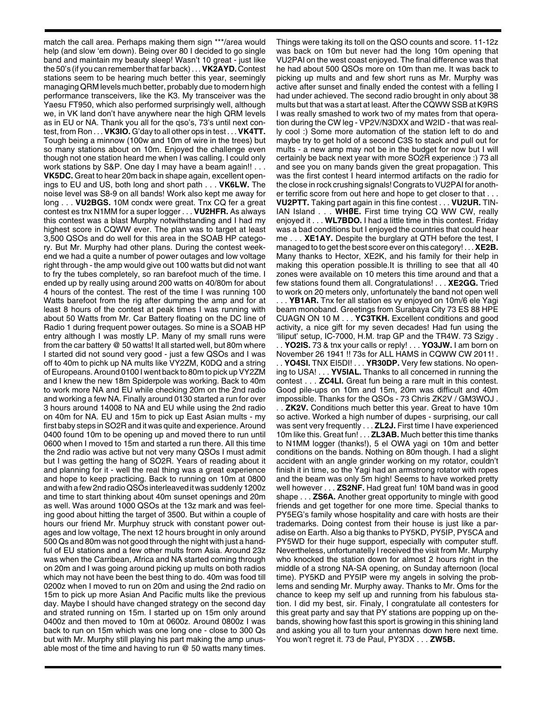match the call area. Perhaps making them sign \*\*\*/area would help (and slow 'em down). Being over 80 I decided to go single band and maintain my beauty sleep! Wasn't 10 great - just like the 50's (if you can remember that far back) . . . **VK2AYD.** Contest stations seem to be hearing much better this year, seemingly managing QRM levels much better, probably due to modern high performance transceivers, like the K3. My transceiver was the Yaesu FT950, which also performed surprisingly well, although we, in VK land don't have anywhere near the high QRM levels as in EU or NA. Thank you all for the qso's, 73's until next contest, from Ron . . . **VK3IO.** G'day to all other ops in test . . . **VK4TT.** Tough being a minnow (100w and 10m of wire in the trees) but so many stations about on 10m. Enjoyed the challenge even though not one station heard me when I was calling. I could only work stations by S&P. One day I may have a beam again!! . . . **VK5DC.** Great to hear 20m back in shape again, excellent openings to EU and US, both long and short path . . . **VK6LW.** The noise level was S8-9 on all bands! Work also kept me away for long . . . **VU2BGS.** 10M condx were great. Tnx CQ fer a great contest es tnx N1MM for a super logger . . . **VU2HFR.** As always this contest was a blast Murphy notwithstanding and I had my highest score in CQWW ever. The plan was to target at least 3,500 QSOs and do well for this area in the SOAB HP category. But Mr. Murphy had other plans. During the contest weekend we had a quite a number of power outages and low voltage right through - the amp would give out 100 watts but did not want to fry the tubes completely, so ran barefoot much of the time. I ended up by really using around 200 watts on 40/80m for about 4 hours of the contest. The rest of the time I was running 100 Watts barefoot from the rig after dumping the amp and for at least 8 hours of the contest at peak times I was running with about 50 Watts from Mr. Car Battery floating on the DC line of Radio 1 during frequent power outages. So mine is a SOAB HP entry although I was mostly LP. Many of my small runs were from the car battery @ 50 watts! It all started well, but 80m where I started did not sound very good - just a few QSOs and I was off to 40m to pichk up NA mults like VY2ZM, K0DQ and a string of Europeans. Around 0100 I went back to 80m to pick up VY2ZM and I knew the new 18m Spiderpole was working. Back to 40m to work more NA and EU while checking 20m on the 2nd radio and working a few NA. Finally around 0130 started a run for over 3 hours around 14008 to NA and EU while using the 2nd radio on 40m for NA. EU and 15m to pick up East Asian mults - my first baby steps in SO2R and it was quite and experience. Around 0400 found 10m to be opening up and moved there to run until 0600 when I moved to 15m and started a run there. All this time the 2nd radio was active but not very many QSOs I must admit but I was getting the hang of SO2R. Years of reading about it and planning for it - well the real thing was a great experience and hope to keep practicing. Back to running on 10m at 0800 and with a few 2nd radio QSOs interleaved it was suddenly 1200z and time to start thinking about 40m sunset openings and 20m as well. Was around 1000 QSOs at the 13z mark and was feeling good about hitting the target of 3500. But within a couple of hours our friend Mr. Murphuy struck with constant power outages and low voltage, The next 12 hours brought in only around 500 Qs and 80m was not good through the night with just a handful of EU stations and a few other mults from Asia. Around 23z was when the Carribean, Africa and NA started coming through on 20m and I was going around picking up mults on both radios which may not have been the best thing to do. 40m was food till 0200z when I moved to run on 20m and using the 2nd radio on 15m to pick up more Asian And Pacific mults like the previous day. Maybe I should have changed strategy on the second day and strated running on 15m. I started up on 15m only around 0400z and then moved to 10m at 0600z. Around 0800z I was back to run on 15m which was one long one - close to 300 Qs but with Mr. Murphy still playing his part making the amp unusable most of the time and having to run @ 50 watts many times.

Things were taking its toll on the QSO counts and score. 11-12z was back on 10m but never had the long 10m opening that VU2PAI on the west coast enjoyed. The final difference was that he had about 500 QSOs more on 10m than me. It was back to picking up mults and and few short runs as Mr. Murphy was active after sunset and finally ended the contest with a felling I had under achieved. The second radio brought in only about 38 mults but that was a start at least. After the CQWW SSB at K9RS I was really smashed to work two of my mates from that operation during the CW leg - VP2V/N3DXX and W2ID - that was really cool :) Some more automation of the station left to do and maybe try to get hold of a second C3S to stack and pull out for mults - a new amp may not be in the budget for now but I will certainly be back next year with more SO2R experience :) 73 all and see you on many bands given the great propagation. This was the first contest I heard intermod artifacts on the radio for the close in rock crushing signals! Congrats to VU2PAI for another terrific score from out here and hope to get closer to that . . . **VU2PTT.** Taking part again in this fine contest . . . **VU2UR.** TIN-

IAN Island . . . **WHØE.** First time trying CQ WW CW, really enjoyed it . . . **WL7BDO.** I had a little time in this contest. Friday was a bad conditions but I enjoyed the countries that could hear me . . . **XE1AY.** Despite the burglary at QTH before the test, I managed to to get the best score ever on this category! . . . **XE2B.** Many thanks to Hector, XE2K, and his family for their help in making this operation possible.It is thrilling to see that all 40 zones were available on 10 meters this time around and that a few stations found them all. Congratulations! . . . **XE2GG.** Tried to work on 20 meters only, unfortunately the band not open well

. . . **YB1AR.** Tnx fer all station es vy enjoyed on 10m/6 ele Yagi beam monoband. Greetings from Surabaya City 73 ES 88 HPE CUAGN ON 10 M . . . **YC3TKH.** Excellent conditions and good activity, a nice gift for my seven decades! Had fun using the 'liliput' setup, IC-7000, H.M. trap GP and the TR4W. 73 Szigy .

. . **YO2IS.** 73 & tnx your calls or reply! . . . **YO3JW.** I am born on November 26 1941 !! 73s for ALL HAMS in CQWW CW 2011! . . . **YO4SI.** TNX EI5DI! . . . **YR30DP.** Very few stations. No opening to USA! . . . **YV5IAL.** Thanks to all concerned in running the contest . . . **ZC4LI.** Great fun being a rare mult in this contest. Good pile-ups on 10m and 15m, 20m was difficult and 40m impossible. Thanks for the QSOs - 73 Chris ZK2V / GM3WOJ .

. . **ZK2V.** Conditions much better this year. Great to have 10m so active. Worked a high number of dupes - surprising, our call was sent very frequently . . . **ZL2J.** First time I have experienced 10m like this. Great fun! . . . **ZL3AB.** Much better this time thanks to N1MM logger (thanks!), 5 el OWA yagi on 10m and better conditions on the bands. Nothing on 80m though. I had a slight accident with an angle grinder working on my rotator, couldn't finish it in time, so the Yagi had an armstrong rotator with ropes and the beam was only 5m high! Seems to have worked pretty well however . . . **ZS2NF.** Had great fun! 10M band was in good shape . . . **ZS6A.** Another great opportunity to mingle with good friends and get together for one more time. Special thanks to PY5EG's family whose hospitality and care with hosts are their trademarks. Doing contest from their house is just like a paradise on Earth. Also a big thanks to PY5KD, PY5IP, PY5CA and PY5WD for their huge support, especially with computer stuff. Nevertheless, unfortunatelly I received the visit from Mr. Murphy who knocked the station down for almost 2 hours right in the middle of a strong NA-SA opening, on Sunday afternoon (local time). PY5KD and PY5IP were my angels in solving the problems and sending Mr. Murphy away. Thanks to Mr. Oms for the chance to keep my self up and running from his fabulous station. I did my best, sir. Finaly, I congratulate all contesters for this great party and say that PY stations are popping up on thebands, showing how fast this sport is growing in this shining land and asking you all to turn your antennas down here next time. You won't regret it. 73 de Paul, PY3DX . . . **ZW5B.**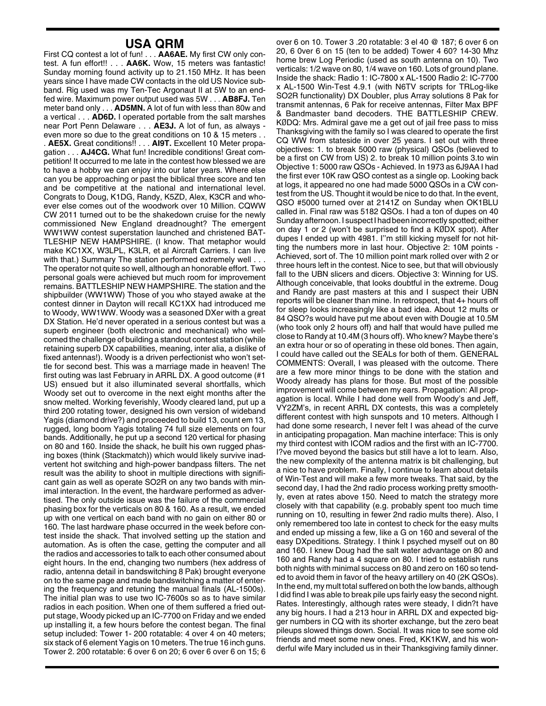## **USA QRM**

First CQ contest a lot of fun! . . . **AA6AE.** My first CW only contest. A fun effort!! . . . **AA6K.** Wow, 15 meters was fantastic! Sunday morning found activity up to 21.150 MHz. It has been years since I have made CW contacts in the old US Novice subband. Rig used was my Ten-Tec Argonaut II at 5W to an endfed wire. Maximum power output used was 5W . . . **AB8FJ.** Ten meter band only . . . **AD5MN.** A lot of fun with less than 80w and a vertical . . . **AD6D.** I operated portable from the salt marshes near Port Penn Delaware . . . **AE3J.** A lot of fun, as always even more so due to the great conditions on 10 & 15 meters . . . **AE5X.** Great conditions!! . . . **AI9T.** Excellent 10 Meter propagation . . . **AJ4CG.** What fun! Incredible conditions! Great competition! It occurred to me late in the contest how blessed we are to have a hobby we can enjoy into our later years. Where else can you be approaching or past the biblical three score and ten and be competitive at the national and international level. Congrats to Doug, K1DG, Randy, K5ZD, Alex, K3CR and whoever else comes out of the woodwork over 10 Million. CQWW CW 2011 turned out to be the shakedown cruise for the newly commissioned New England dreadnought? The emergent WW1WW contest superstation launched and christened BAT-TLESHIP NEW HAMPSHIRE. (I know. That metaphor would make KC1XX, W3LPL, K3LR, et al Aircraft Carriers. I can live with that.) Summary The station performed extremely well . . . The operator not quite so well, although an honorable effort. Two personal goals were achieved but much room for improvement remains. BATTLESHIP NEW HAMPSHIRE. The station and the shipbuilder (WW1WW) Those of you who stayed awake at the contest dinner in Dayton will recall KC1XX had introduced me to Woody, WW1WW. Woody was a seasoned DXer with a great DX Station. He'd never operated in a serious contest but was a superb engineer (both electronic and mechanical) who welcomed the challenge of building a standout contest station (while retaining superb DX capabilities, meaning, inter alia, a dislike of fixed antennas!). Woody is a driven perfectionist who won't settle for second best. This was a marriage made in heaven! The first outing was last February in ARRL DX. A good outcome (#1 US) ensued but it also illuminated several shortfalls, which Woody set out to overcome in the next eight months after the snow melted. Working feverishly, Woody cleared land, put up a third 200 rotating tower, designed his own version of wideband Yagis (diamond drive?) and proceeded to build 13, count em 13, rugged, long boom Yagis totaling 74 full size elements on four bands. Additionally, he put up a second 120 vertical for phasing on 80 and 160. Inside the shack, he built his own rugged phasing boxes (think (Stackmatch)) which would likely survive inadvertent hot switching and high-power bandpass filters. The net result was the ability to shoot in multiple directions with significant gain as well as operate SO2R on any two bands with minimal interaction. In the event, the hardware performed as advertised. The only outside issue was the failure of the commercial phasing box for the verticals on 80 & 160. As a result, we ended up with one vertical on each band with no gain on either 80 or 160. The last hardware phase occurred in the week before contest inside the shack. That involved setting up the station and automation. As is often the case, getting the computer and all the radios and accessories to talk to each other consumed about eight hours. In the end, changing two numbers (hex address of radio, antenna detail in bandswitching 8 Pak) brought everyone on to the same page and made bandswitching a matter of entering the frequency and retuning the manual finals (AL-1500s). The initial plan was to use two IC-7600s so as to have similar radios in each position. When one of them suffered a fried output stage, Woody picked up an IC-7700 on Friday and we ended up installing it, a few hours before the contest began. The final setup included: Tower 1- 200 rotatable: 4 over 4 on 40 meters; six stack of 6 element Yagis on 10 meters. The true 16 inch guns. Tower 2. 200 rotatable: 6 over 6 on 20; 6 over 6 over 6 on 15; 6

over 6 on 10. Tower 3 .20 rotatable: 3 el 40 @ 187; 6 over 6 on 20, 6 0ver 6 on 15 (ten to be added) Tower 4 60? 14-30 Mhz home brew Log Periodic (used as south antenna on 10). Two verticals: 1/2 wave on 80, 1/4 wave on 160. Lots of ground plane. Inside the shack: Radio 1: IC-7800 x AL-1500 Radio 2: IC-7700 x AL-1500 Win-Test 4.9.1 (with N6TV scripts for TRLog-like SO2R functionality) DX Doubler, plus Array solutions 8 Pak for transmit antennas, 6 Pak for receive antennas, Filter Max BPF & Bandmaster band decoders. THE BATTLESHIP CREW. KØDQ: Mrs. Admiral gave me a get out of jail free pass to miss Thanksgiving with the family so I was cleared to operate the first CQ WW from stateside in over 25 years. I set out with three objectives: 1. to break 5000 raw (physical) QSOs (believed to be a first on CW from US) 2. to break 10 million points 3.to win Objective 1: 5000 raw QSOs - Achieved. In 1973 as 6J9AA I had the first ever 10K raw QSO contest as a single op. Looking back at logs, it appeared no one had made 5000 QSOs in a CW contest from the US. Thought it would be nice to do that. In the event, QSO #5000 turned over at 2141Z on Sunday when OK1BLU called in. Final raw was 5182 QSOs. I had a ton of dupes on 40 Sunday afternoon. I suspect I had been incorrectly spotted; either on day 1 or 2 (won't be surprised to find a KØDX spot). After dupes I ended up with 4981. I''m still kicking myself for not hitting the numbers more in last hour. Objective 2: 10M points - Achieved, sort of. The 10 million point mark rolled over with 2 or three hours left in the contest. Nice to see, but that will obviously fall to the UBN slicers and dicers. Objective 3: Winning for US. Although conceivable, that looks doubtful in the extreme. Doug and Randy are past masters at this and I suspect their UBN reports will be cleaner than mine. In retrospect, that 4+ hours off for sleep looks increasingly like a bad idea. About 12 mults or 84 QSO?s would have put me about even with Dougie at 10.5M (who took only 2 hours off) and half that would have pulled me close to Randy at 10.4M (3 hours off). Who knew? Maybe there's an extra hour or so of operating in these old bones. Then again, I could have called out the SEALs for both of them. GENERAL COMMENTS: Overall, I was pleased with the outcome. There are a few more minor things to be done with the station and Woody already has plans for those. But most of the possible improvement will come between my ears. Propagation: All propagation is local. While I had done well from Woody's and Jeff, VY2ZM's, in recent ARRL DX contests, this was a completely different contest with high sunspots and 10 meters. Although I had done some research, I never felt I was ahead of the curve in anticipating propagation. Man machine interface: This is only my third contest with ICOM radios and the first with an IC-7700. I?ve moved beyond the basics but still have a lot to learn. Also, the new complexity of the antenna matrix is bit challenging, but a nice to have problem. Finally, I continue to learn about details of Win-Test and will make a few more tweaks. That said, by the second day, I had the 2nd radio process working pretty smoothly, even at rates above 150. Need to match the strategy more closely with that capability (e.g. probably spent too much time running on 10, resulting in fewer 2nd radio mults there). Also, I only remembered too late in contest to check for the easy mults and ended up missing a few, like a G on 160 and several of the easy DXpeditions. Strategy. I think I psyched myself out on 80 and 160. I knew Doug had the salt water advantage on 80 and 160 and Randy had a 4 square on 80. I tried to establish runs both nights with minimal success on 80 and zero on 160 so tended to avoid them in favor of the heavy artillery on 40 (2K QSOs). In the end, my mult total suffered on both the low bands, although I did find I was able to break pile ups fairly easy the second night. Rates. Interestingly, although rates were steady, I didn?t have any big hours. I had a 213 hour in ARRL DX and expected bigger numbers in CQ with its shorter exchange, but the zero beat pileups slowed things down. Social. It was nice to see some old friends and meet some new ones. Fred, KK1KW, and his wonderful wife Mary included us in their Thanksgiving family dinner.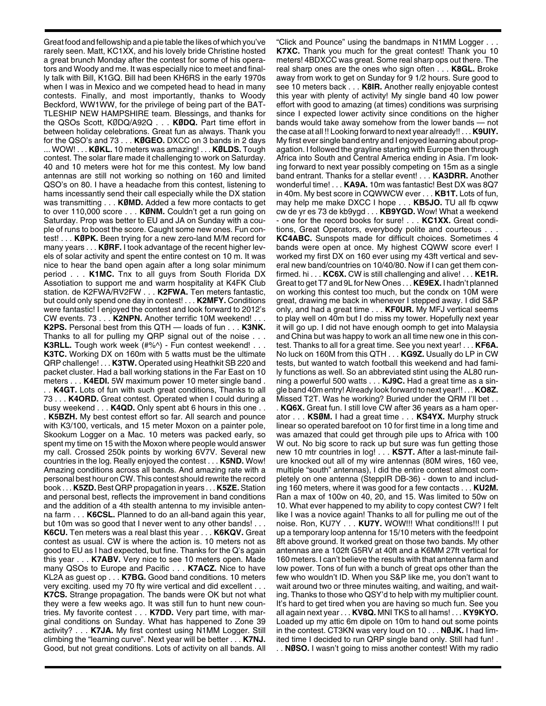Great food and fellowship and a pie table the likes of which you've rarely seen. Matt, KC1XX, and his lovely bride Christine hosted a great brunch Monday after the contest for some of his operators and Woody and me. It was especially nice to meet and finally talk with Bill, K1GQ. Bill had been KH6RS in the early 1970s when I was in Mexico and we competed head to head in many contests. Finally, and most importantly, thanks to Woody Beckford, WW1WW, for the privilege of being part of the BAT-TLESHIP NEW HAMPSHIRE team. Blessings, and thanks for the QSOs Scott, KØDQ/A92Q . . . **KØDQ.** Part time effort in between holiday celebrations. Great fun as always. Thank you for the QSO's and 73 . . . **KØGEO.** DXCC on 3 bands in 2 days ... WOW! . . . **KØKL.** 10 meters was amazing! . . . **KØLDS.** Tough contest. The solar flare made it challenging to work on Saturday. 40 and 10 meters were hot for me this contest. My low band antennas are still not working so nothing on 160 and limited QSO's on 80. I have a headache from this contest, listening to hams incessantly send their call especially while the DX station was transmitting . . . **KØMD.** Added a few more contacts to get to over 110,000 score . . . **KØNM.** Couldn't get a run going on Saturday. Prop was better to EU and JA on Sunday with a couple of runs to boost the score. Caught some new ones. Fun contest! . . . **KØPK.** Been trying for a new zero-land M/M record for many years . . . **KØRF.** I took advantage of the recent higher levels of solar activity and spent the entire contest on 10 m. It was nice to hear the band open again after a long solar minimum period . . . **K1MC.** Tnx to all guys from South Florida DX Assotiation to support me and warm hospitality at K4FK Club station. de K2FWA/RV2FW . . . **K2FWA.** Ten meters fantastic, but could only spend one day in contest! . . . **K2MFY.** Conditions were fantastic! I enjoyed the contest and look forward to 2012's CW events. 73 . . . **K2NPN.** Another terrific 10M weekend! . . . **K2PS.** Personal best from this QTH — loads of fun . . . **K3NK.** Thanks to all for pulling my QRP signal out of the noise . . . **K3RLL.** Tough work week (#%^) - Fun contest weekend! . . . **K3TC.** Working DX on 160m with 5 watts must be the ultimate QRP challenge! . . . **K3TW.** Operated using Heathkit SB 220 and packet cluster. Had a ball working stations in the Far East on 10 meters . . . **K4EDI.** 5W maximum power 10 meter single band . . . **K4GT.** Lots of fun with such great conditions, Thanks to all 73 . . . **K4ORD.** Great contest. Operated when I could during a busy weekend . . . **K4QD.** Only spent abt 6 hours in this one . .

. **K5BZH.** My best contest effort so far. All search and pounce with K3/100, verticals, and 15 meter Moxon on a painter pole, Skookum Logger on a Mac. 10 meters was packed early, so spent my time on 15 with the Moxon where people would answer my call. Crossed 250k points by working 6V7V. Several new countries in the log. Really enjoyed the contest . . . **K5ND.** Wow! Amazing conditions across all bands. And amazing rate with a personal best hour on CW. This contest should rewrite the record book . . . **K5ZD.**Best QRP propagation in years . . . **K5ZE.**Station and personal best, reflects the improvement in band conditions and the addition of a 4th stealth antenna to my invisible antenna farm . . . **K6CSL.** Planned to do an all-band again this year, but 10m was so good that I never went to any other bands! . . . **K6CU.** Ten meters was a real blast this year . . . **K6KQV.** Great contest as usual. CW is where the action is. 10 meters not as good to EU as I had expected, but fine. Thanks for the Q's again this year . . . **K7ABV.** Very nice to see 10 meters open. Made many QSOs to Europe and Pacific . . . **K7ACZ.** Nice to have KL2A as guest op . . . **K7BG.** Good band conditions. 10 meters very exciting. used my 70 fty wire vertical and did excellent . . . **K7CS.** Strange propagation. The bands were OK but not what they were a few weeks ago. It was still fun to hunt new countries. My favorite contest . . . **K7DD.** Very part time, with marginal conditions on Sunday. What has happened to Zone 39 activity? . . . **K7JA.** My first contest using N1MM Logger. Still climbing the "learning curve". Next year will be better . . . **K7NJ.** Good, but not great conditions. Lots of activity on all bands. All

"Click and Pounce" using the bandmaps in N1MM Logger . . . **K7XC.** Thank you much for the great contest! Thank you 10 meters! 4BDXCC was great. Some real sharp ops out there. The real sharp ones are the ones who sign often . . . **K8GL.** Broke away from work to get on Sunday for 9 1/2 hours. Sure good to see 10 meters back . . . **K8IR.** Another really enjoyable contest this year with plenty of activity! My single band 40 low power effort with good to amazing (at times) conditions was surprising since I expected lower activity since conditions on the higher bands would take away somehow from the lower bands — not the case at all !! Looking forward to next year already!! . . . **K9UIY.** My first ever single band entry and I enjoyed learning about propagation. I followed the grayline starting with Europe then through Africa into South and Central America ending in Asia. I'm looking forward to next year possibly competing on 15m as a single band entrant. Thanks for a stellar event! . . . **KA3DRR.** Another wonderful time! . . . **KA9A.** 10m was fantastic! Best DX was 8Q7 in 40m. My best score in CQWWCW ever . . . **KB1T.** Lots of fun, may help me make DXCC I hope . . . **KB5JO.** TU all fb cqww cw de yr es 73 de kb9ygd . . . **KB9YGD.** Wow! What a weekend - one for the record books for sure! . . . **KC1XX.** Great conditions, Great Operators, everybody polite and courteous . . . **KC4ABC.** Sunspots made for difficult choices. Sometimes 4 bands were open at once. My highest CQWW score ever! I worked my first DX on 160 ever using my 43ft vertical and several new band/countries on 10/40/80. Now if I can get them confirmed. hi . . . **KC6X.** CW is still challenging and alive! . . . **KE1R.** Great to get T7 and 9L for New Ones . . . **KE9EX.** I hadn't planned on working this contest too much, but the condx on 10M were great, drawing me back in whenever I stepped away. I did S&P only, and had a great time . . . **KF0UR.** My MFJ vertical seems to play well on 40m but I do miss my tower. Hopefully next year it will go up. I did not have enough oomph to get into Malaysia and China but was happy to work an all time new one in this contest. Thanks to all for a great time. See you next year! . . . **KF6A.** No luck on 160M from this QTH . . . **KG9Z.** Usually do LP in CW tests, but wanted to watch football this weekend and had family functions as well. So an abbreviated stint using the AL80 running a powerful 500 watts . . . **KJ9C.** Had a great time as a single band 40m entry! Already look forward to next year!! . . . **KO8Z.** Missed T2T. Was he working? Buried under the QRM I'll bet . .

. **KQ6X.** Great fun. I still love CW after 36 years as a ham operator . . . **KSØM.** I had a great time . . . **KS4YX.** Murphy struck linear so operated barefoot on 10 for first time in a long time and was amazed that could get through pile ups to Africa with 100 W out. No big score to rack up but sure was fun getting those new 10 mtr countries in log! . . . **KS7T.** After a last-minute failure knocked out all of my wire antennas (80M wires, 160 vee, multiple "south" antennas), I did the entire contest almost completely on one antenna (SteppIR DB-36) - down to and including 160 meters, where it was good for a few contacts . . . **KU2M.** Ran a max of 100w on 40, 20, and 15. Was limited to 50w on 10. What ever happened to my ability to copy contest CW? I felt like I was a novice again! Thanks to all for pulling me out of the noise. Ron, KU7Y . . . **KU7Y.** WOW!!! What conditions!!! I put up a temporary loop antenna for 15/10 meters with the feedpoint 8ft above ground. It worked great on those two bands. My other antennas are a 102ft G5RV at 40ft and a K6MM 27ft vertical for 160 meters. I can't believe the results with that antenna farm and low power. Tons of fun with a bunch of great ops other than the few who wouldn't ID. When you S&P like me, you don't want to wait around two or three minutes waiting, and waiting, and waiting. Thanks to those who QSY'd to help with my multiplier count. It's hard to get tired when you are having so much fun. See you all again next year . . . **KV8Q.** MNI TKS to all hams! . . . **KY9KYO.** Loaded up my attic 6m dipole on 10m to hand out some points in the contest. CT3KN was very loud on 10 . . . **NØJK.** I had limited time I decided to run QRP single band only. Still had fun! . . . **NØSO.** I wasn't going to miss another contest! With my radio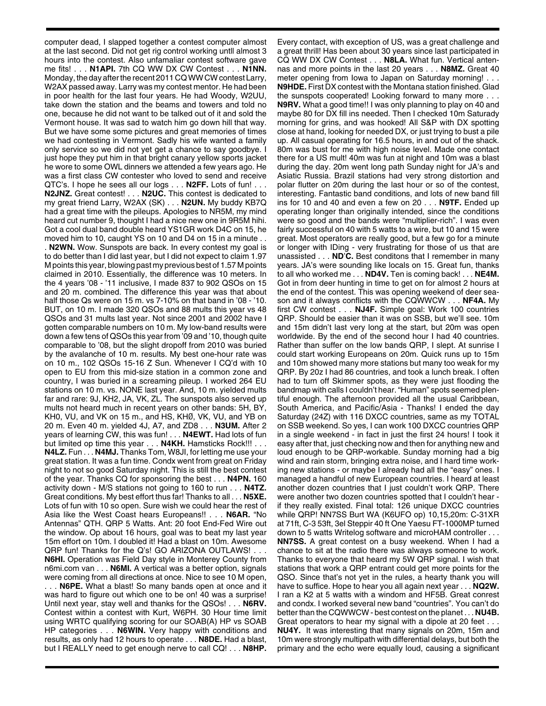computer dead, I slapped together a contest computer almost at the last second. Did not get rig control working untll almost 3 hours into the contest. Also unfamaliar contest software gave me fits! . . . **N1API.** 7th CQ WW DX CW Contest . . . **N1NN.** Monday, the day after the recent 2011 CQ WW CW contest Larry, W2AX passed away. Larry was my contest mentor. He had been in poor health for the last four years. He had Woody, W2UU, take down the station and the beams and towers and told no one, because he did not want to be talked out of it and sold the Vermont house. It was sad to watch him go down hill that way. But we have some some pictures and great memories of times we had contesting in Vermont. Sadly his wife wanted a family only service so we did not yet get a chance to say goodbye. I just hope they put him in that bright canary yellow sports jacket he wore to some OWL dinners we attended a few years ago. He was a first class CW contester who loved to send and receive QTC's. I hope he sees all our logs . . . **N2FF.** Lots of fun! . . . **N2JNZ.** Great contest! . . . **N2UC.** This contest is dedicated to my great friend Larry, W2AX (SK) . . . **N2UN.** My buddy KB7Q had a great time with the pileups. Apologies to NR5M, my mind heard cut number 9, thought I had a nice new one in 9R5M hihi. Got a cool dual band double heard YS1GR work D4C on 15, he moved him to 10, caught YS on 10 and D4 on 15 in a minute . . . **N2WN.** Wow. Sunspots are back. In every contest my goal is to do better than I did last year, but I did not expect to claim 1.97 M points this year, blowing past my previous best of 1.57 M points claimed in 2010. Essentially, the difference was 10 meters. In the 4 years '08 - '11 inclusive, I made 837 to 902 QSOs on 15 and 20 m. combined. The difference this year was that about half those Qs were on 15 m. vs 7-10% on that band in '08 - '10. BUT, on 10 m. I made 320 QSOs and 88 mults this year vs 48 QSOs and 31 mults last year. Not since 2001 and 2002 have I gotten comparable numbers on 10 m. My low-band results were down a few tens of QSOs this year from '09 and '10, though quite comparable to '08, but the slight dropoff from 2010 was buried by the avalanche of 10 m. results. My best one-hour rate was on 10 m., 102 QSOs 15-16 Z Sun. Whenever I CQ'd with 10 open to EU from this mid-size station in a common zone and country, I was buried in a screaming pileup. I worked 264 EU stations on 10 m. vs. NONE last year. And, 10 m. yielded mults far and rare: 9J, KH2, JA, VK, ZL. The sunspots also served up mults not heard much in recent years on other bands: 5H, BY, KH0, VU, and VK on 15 m., and HS, KHØ, VK, VU, and YB on 20 m. Even 40 m. yielded 4J, A7, and ZD8 . . . **N3UM.** After 2 years of learning CW, this was fun! . . . **N4EWT.** Had lots of fun but limited op time this year . . . **N4KH.** Hamsticks Rock!!! . . . **N4LZ.** Fun . . . **N4MJ.** Thanks Tom, W8JI, for letting me use your great station. It was a fun time. Condx went from great on Friday night to not so good Saturday night. This is still the best contest of the year. Thanks CQ for sponsoring the best . . . **N4PN.** 160 activity down - M/S stations not going to 160 to run . . . **N4TZ.** Great conditions. My best effort thus far! Thanks to all . . . **N5XE.** Lots of fun with 10 so open. Sure wish we could hear the rest of Asia like the West Coast hears Europeans!! . . . **N6AR.** "No Antennas" QTH. QRP 5 Watts. Ant: 20 foot End-Fed Wire out the window. Op about 16 hours, goal was to beat my last year 15m effort on 10m. I doubled it! Had a blast on 10m. Awesome QRP fun! Thanks for the Q's! GO ARIZONA OUTLAWS! . . . **N6HI.** Operation was Field Day style in Monterey County from n6mi.com van . . . **N6MI.** A vertical was a better option, signals were coming from all directions at once. Nice to see 10 M open, . . . **N6PE.** What a blast! So many bands open at once and it

was hard to figure out which one to be on! 40 was a surprise! Until next year, stay well and thanks for the QSOs! . . . **N6RV.** Contest within a contest with Kurt, W6PH. 30 Hour time limit using WRTC qualifying scoring for our SOAB(A) HP vs SOAB HP categories . . . **N6WIN.** Very happy with conditions and results, as only had 12 hours to operate . . . **N8DE.** Had a blast, but I REALLY need to get enough nerve to call CQ! . . . **N8HP.**

Every contact, with exception of US, was a great challenge and a great thrill! Has been about 30 years since last participated in CQ WW DX CW Contest . . . **N8LA.** What fun. Vertical antennas and more points in the last 20 years . . . **N8MZ.** Great 40 meter opening from Iowa to Japan on Saturday morning! . . . **N9HDE.** First DX contest with the Montana station finished. Glad the sunspots cooperated! Looking forward to many more . . . **N9RV.** What a good time!! I was only planning to play on 40 and maybe 80 for DX fill ins needed. Then I checked 10m Saturady morning for grins, and was hooked! All S&P with DX spotting close at hand, looking for needed DX, or just trying to bust a pile up. All casual operating for 16.5 hours, in and out of the shack. 80m was bust for me with high noise level. Made one contact there for a US mult! 40m was fun at night and 10m was a blast during the day. 20m went long path Sunday night for JA's and Asiatic Russia. Brazil stations had very strong distortion and polar flutter on 20m during the last hour or so of the contest, interesting. Fantastic band conditions, and lots of new band fill ins for 10 and 40 and even a few on 20 . . . **N9TF.** Ended up operating longer than originally intended, since the conditions were so good and the bands were "multiplier-rich". I was even fairly successful on 40 with 5 watts to a wire, but 10 and 15 were great. Most operators are really good, but a few go for a minute or longer with IDing - very frustrating for those of us that are unassisted . . . **ND**'**C.** Best conditons that I remember in many years. JA's were sounding like locals on 15. Great fun, thanks to all who worked me . . . **ND4V.** Ten is coming back! . . . **NE4M.** Got in from deer hunting in time to get on for almost 2 hours at the end of the contest. This was opening weekend of deer season and it always conflicts with the CQWWCW . . . **NF4A.** My first CW contest . . . **NJ4F.** Simple goal: Work 100 countries QRP. Should be easier than it was on SSB, but we'll see. 10m and 15m didn't last very long at the start, but 20m was open worldwide. By the end of the second hour I had 40 countries. Rather than suffer on the low bands QRP, I slept. At sunrise I could start working Europeans on 20m. Quick runs up to 15m and 10m showed many more stations but many too weak for my QRP. By 20z I had 86 countries, and took a lunch break. I often had to turn off Skimmer spots, as they were just flooding the bandmap with calls I couldn't hear. "Human" spots seemed plentiful enough. The afternoon provided all the usual Caribbean, South America, and Pacific/Asia - Thanks! I ended the day Saturday (24Z) with 116 DXCC countries, same as my TOTAL on SSB weekend. So yes, I can work 100 DXCC countries QRP in a single weekend - in fact in just the first 24 hours! I took it easy after that, just checking now and then for anything new and loud enough to be QRP-workable. Sunday morning had a big wind and rain storm, bringing extra noise, and I hard time working new stations - or maybe I already had all the "easy" ones. I managed a handful of new European countries. I heard at least another dozen countries that I just couldn't work QRP. There were another two dozen countries spotted that I couldn't hear if they really existed. Final total: 126 unique DXCC countries while QRP! NN7SS Burt WA (K6UFO op) 10,15,20m: C-31XR at 71ft, C-3 53ft, 3el Steppir 40 ft One Yaesu FT-1000MP turned down to 5 watts Writelog software and microHAM controller . . . **NN7SS.** A great contest on a busy weekend. When I had a chance to sit at the radio there was always someone to work. Thanks to everyone that heard my 5W QRP signal. I wish that stations that work a QRP entrant could get more points for the QSO. Since that's not yet in the rules, a hearty thank you will have to suffice. Hope to hear you all again next year . . . **NQ2W.** I ran a K2 at 5 watts with a windom and HF5B. Great conrest and condx. I worked several new band "countries". You can't do better than the CQWWCW - best contest on the planet . . . **NU4B.** Great operators to hear my signal with a dipole at 20 feet . . . **NU4Y.** It was interesting that many signals on 20m, 15m and 10m were strongly multipath with differential delays, but both the primary and the echo were equally loud, causing a significant